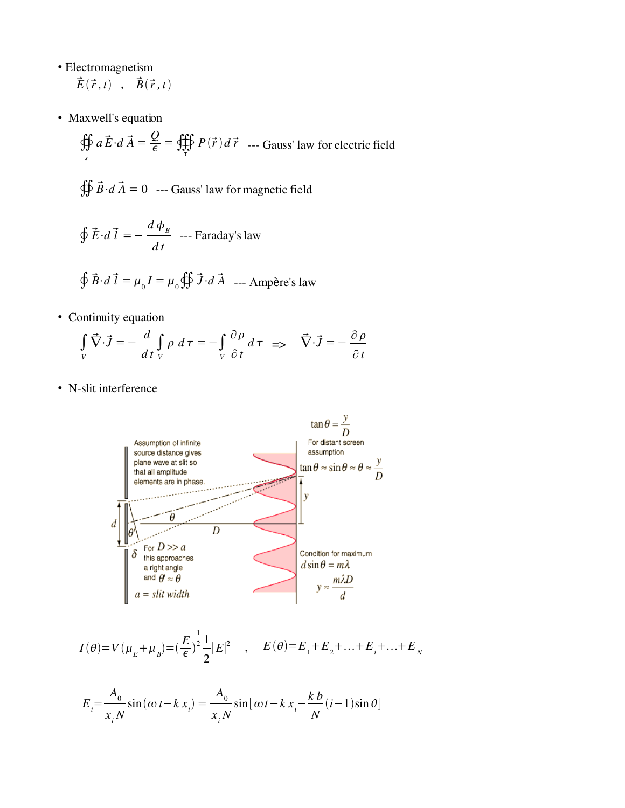- Electromagnetism  $\vec{E}(\vec{r},t)$  ,  $\vec{B}(\vec{r},t)$
- Maxwell's equation

$$
\oiint_{s} a \vec{E} \cdot d\vec{A} = \frac{Q}{\epsilon} = \oiint_{\tau} P(\vec{r}) d\vec{r}
$$
 --- Gauss' law for electric field

$$
\oiint \vec{B} \cdot d\vec{A} = 0
$$
 --- Gauss' law for magnetic field

$$
\oint \vec{E} \cdot d\vec{l} = -\frac{d\,\phi_{B}}{dt} \quad -- Faraday's law
$$

$$
\oint \vec{B} \cdot d\vec{l} = \mu_0 I = \mu_0 \oiint \vec{J} \cdot d\vec{A}
$$
 --- Ampère's law

• Continuity equation

$$
\int_{V} \vec{\nabla} \cdot \vec{J} = -\frac{d}{dt} \int_{V} \rho \, d\tau = -\int_{V} \frac{\partial \rho}{\partial t} d\tau \implies \vec{\nabla} \cdot \vec{J} = -\frac{\partial \rho}{\partial t}
$$

• N-slit interference



$$
I(\theta) = V(\mu_E + \mu_B) = \left(\frac{E}{\epsilon}\right)^{\frac{1}{2}} \frac{1}{2} |E|^2 \quad , \quad E(\theta) = E_1 + E_2 + \dots + E_i + \dots + E_N
$$

$$
E_i = \frac{A_0}{x_i N} \sin(\omega t - k x_i) = \frac{A_0}{x_i N} \sin[\omega t - k x_i - \frac{k b}{N} (i-1) \sin \theta]
$$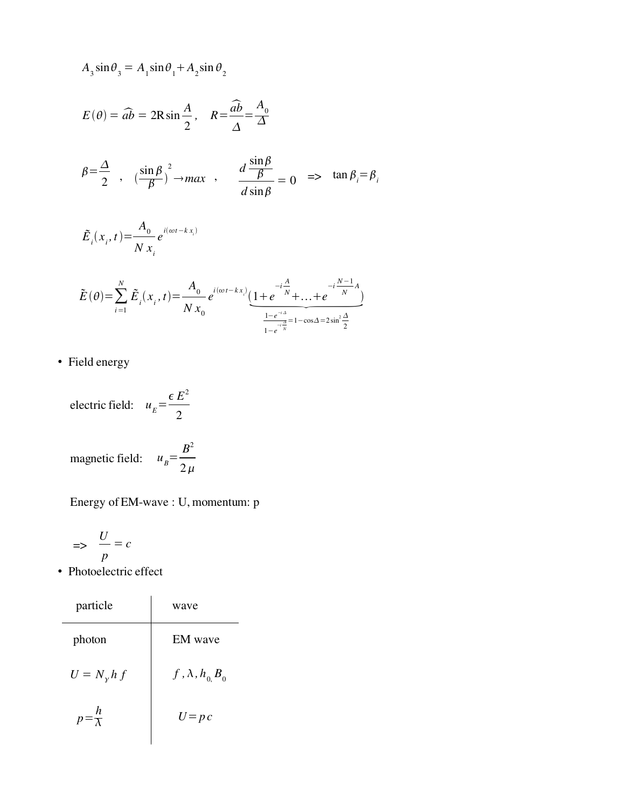$$
A_3 \sin \theta_3 = A_1 \sin \theta_1 + A_2 \sin \theta_2
$$
  
\n
$$
E(\theta) = \widehat{ab} = 2R \sin \frac{A}{2}, \quad R = \frac{\widehat{ab}}{\Delta} = \frac{A_0}{\Delta}
$$
  
\n
$$
\beta = \frac{\Delta}{2}, \quad (\frac{\sin \beta}{\beta})^2 \to max, \quad \frac{d \frac{\sin \beta}{\beta}}{d \sin \beta} = 0 \implies \tan \beta_i = \beta_i
$$
  
\n
$$
\tilde{E}_i(x_i, t) = \frac{A_0}{N x_i} e^{i(\omega t - k x_i)}
$$
  
\n
$$
\tilde{E}(\theta) = \sum_{i=1}^N \tilde{E}_i(x_i, t) = \frac{A_0}{N x_0} e^{i(\omega t - k x_i)} \underbrace{(1 + e^{\frac{-t \frac{A}{N}}{N}} + \dots + e^{\frac{-t \frac{N-1}{N}A}{N}})}_{1 - e^{\frac{-t \frac{A}{N}}{N}}}.
$$

• Field energy

electric field:  $u_E$ =  $\epsilon E^2$ 2 magnetic field:  $u_B$ =  $B<sup>2</sup>$  $2\,\mu$ 

Energy of EM-wave : U, momentum: p

$$
\implies \frac{U}{p} = c
$$

• Photoelectric effect

| particle             | wave                      |
|----------------------|---------------------------|
| photon               | <b>EM</b> wave            |
| $U = N_{\gamma} h f$ | $f, \lambda, h_{0} B_{0}$ |
| h                    | $U = p c$                 |